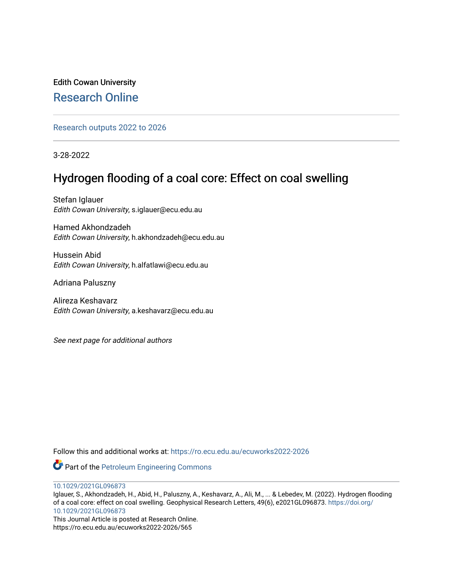Edith Cowan University [Research Online](https://ro.ecu.edu.au/) 

[Research outputs 2022 to 2026](https://ro.ecu.edu.au/ecuworks2022-2026) 

3-28-2022

# Hydrogen flooding of a coal core: Effect on coal swelling

Stefan Iglauer Edith Cowan University, s.iglauer@ecu.edu.au

Hamed Akhondzadeh Edith Cowan University, h.akhondzadeh@ecu.edu.au

Hussein Abid Edith Cowan University, h.alfatlawi@ecu.edu.au

Adriana Paluszny

Alireza Keshavarz Edith Cowan University, a.keshavarz@ecu.edu.au

See next page for additional authors

Follow this and additional works at: [https://ro.ecu.edu.au/ecuworks2022-2026](https://ro.ecu.edu.au/ecuworks2022-2026?utm_source=ro.ecu.edu.au%2Fecuworks2022-2026%2F565&utm_medium=PDF&utm_campaign=PDFCoverPages)

Part of the [Petroleum Engineering Commons](https://network.bepress.com/hgg/discipline/245?utm_source=ro.ecu.edu.au%2Fecuworks2022-2026%2F565&utm_medium=PDF&utm_campaign=PDFCoverPages)

[10.1029/2021GL096873](http://dx.doi.org/10.1029/2021GL096873) 

Iglauer, S., Akhondzadeh, H., Abid, H., Paluszny, A., Keshavarz, A., Ali, M., ... & Lebedev, M. (2022). Hydrogen flooding of a coal core: effect on coal swelling. Geophysical Research Letters, 49(6), e2021GL096873. [https://doi.org/](https://doi.org/10.1029/2021GL096873) [10.1029/2021GL096873](https://doi.org/10.1029/2021GL096873) 

This Journal Article is posted at Research Online. https://ro.ecu.edu.au/ecuworks2022-2026/565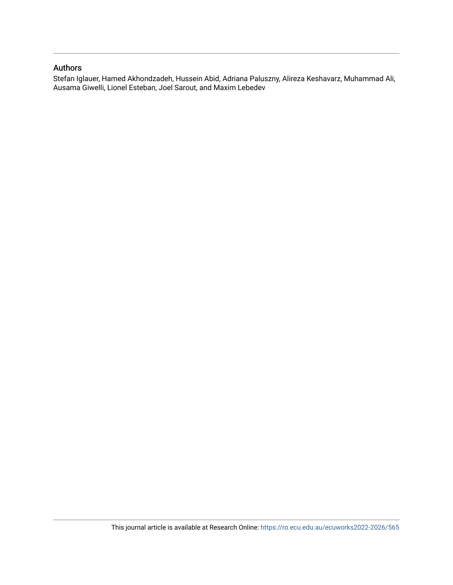## Authors

Stefan Iglauer, Hamed Akhondzadeh, Hussein Abid, Adriana Paluszny, Alireza Keshavarz, Muhammad Ali, Ausama Giwelli, Lionel Esteban, Joel Sarout, and Maxim Lebedev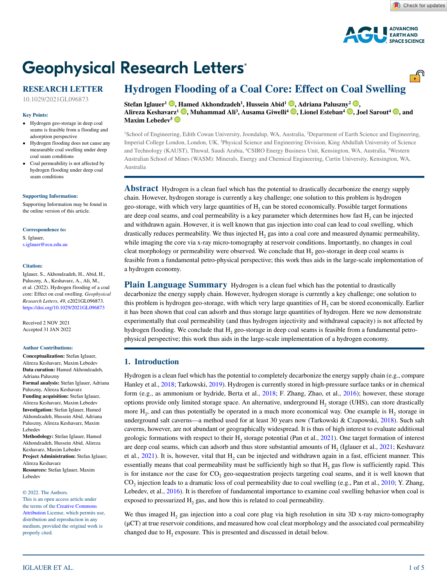<u>್.</u>ಗಿ



# **Geophysical Research Letters®**

## **RESEARCH LETTER**

10.1029/2021GL096873

#### **Key Points:**

- Hydrogen geo-storage in deep coal seams is feasible from a flooding and adsorption perspective
- Hydrogen flooding does not cause any measurable coal swelling under deep coal seam conditions
- Coal permeability is not affected by hydrogen flooding under deep coal seam conditions

#### **[Supporting Information:](https://doi.org/10.1029/2021GL096873)**

[Supporting Information may be found in](https://doi.org/10.1029/2021GL096873)  [the online version of this article.](https://doi.org/10.1029/2021GL096873)

#### **Correspondence to:**

S. Iglauer, s.iglauer@ecu.edu.au

#### **Citation:**

Iglauer, S., Akhondzadeh, H., Abid, H., Paluszny, A., Keshavarz, A., Ali, M., et al. (2022). Hydrogen flooding of a coal core: Effect on coal swelling. *Geophysical Research Letters*, *49*, e2021GL096873. <https://doi.org/10.1029/2021GL096873>

Received 2 NOV 2021 Accepted 31 JAN 2022

#### **Author Contributions:**

**Conceptualization:** Stefan Iglauer, Alireza Keshavarz, Maxim Lebedev **Data curation:** Hamed Akhondzadeh, Adriana Paluszny **Formal analysis:** Stefan Iglauer, Adriana Paluszny, Alireza Keshavarz **Funding acquisition:** Stefan Iglauer, Alireza Keshavarz, Maxim Lebedev **Investigation:** Stefan Iglauer, Hamed Akhondzadeh, Hussein Abid, Adriana Paluszny, Alireza Keshavarz, Maxim Lebedev **Methodology:** Stefan Iglauer, Hamed Akhondzadeh, Hussein Abid, Alireza

Keshavarz, Maxim Lebedev **Project Administration:** Stefan Iglauer, Alireza Keshavarz **Resources:** Stefan Iglauer, Maxim Lebedev

© 2022. The Authors.

This is an open access article under the terms of the [Creative Commons](http://creativecommons.org/licenses/by/4.0/)  [Attribution](http://creativecommons.org/licenses/by/4.0/) License, which permits use, distribution and reproduction in any medium, provided the original work is properly cited.

## **Hydrogen Flooding of a Coal Core: Effect on Coal Swelling**

**Stefan Iglauer1 [,](https://orcid.org/0000-0002-8080-1590) [Ham](https://orcid.org/0000-0002-8091-961X)ed Akhondzadeh1 , Hussein Abid1 [,](https://orcid.org/0000-0003-3368-371X) Adriana Palusz[ny](https://orcid.org/0000-0003-1066-8146)2 [,](https://orcid.org/0000-0002-0821-0307)  Alireza Keshava[rz](https://orcid.org/0000-0003-1369-5844)1 , Muhammad Ali3 , Ausama Giwelli4 [,](https://orcid.org/0000-0002-5288-056X) Lionel Esteban4 , Joel Sarout4 [,](https://orcid.org/0000-0003-3217-7102) and**  Maxim Lebedev<sup>5</sup>

1 School of Engineering, Edith Cowan University, Joondalup, WA, Australia, 2 Department of Earth Science and Engineering, Imperial College London, London, UK, 3 Physical Science and Engineering Division, King Abdullah University of Science and Technology (KAUST), Thuwal, Saudi Arabia, 4 CSIRO Energy Business Unit, Kensington, WA, Australia, 5 Western Australian School of Mines (WASM): Minerals, Energy and Chemical Engineering, Curtin University, Kensington, WA, Australia

**Abstract** Hydrogen is a clean fuel which has the potential to drastically decarbonize the energy supply chain. However, hydrogen storage is currently a key challenge; one solution to this problem is hydrogen geo-storage, with which very large quantities of  $H<sub>2</sub>$  can be stored economically. Possible target formations are deep coal seams, and coal permeability is a key parameter which determines how fast H<sub>2</sub> can be injected and withdrawn again. However, it is well known that gas injection into coal can lead to coal swelling, which drastically reduces permeability. We thus injected  $H_2$  gas into a coal core and measured dynamic permeability, while imaging the core via x-ray micro-tomography at reservoir conditions. Importantly, no changes in coal cleat morphology or permeability were observed. We conclude that  $H<sub>2</sub>$  geo-storage in deep coal seams is feasible from a fundamental petro-physical perspective; this work thus aids in the large-scale implementation of a hydrogen economy.

**Plain Language Summary** Hydrogen is a clean fuel which has the potential to drastically decarbonize the energy supply chain. However, hydrogen storage is currently a key challenge; one solution to this problem is hydrogen geo-storage, with which very large quantities of  $H<sub>2</sub>$  can be stored economically. Earlier it has been shown that coal can adsorb and thus storage large quantities of hydrogen. Here we now demonstrate experimentally that coal permeability (and thus hydrogen injectivity and withdrawal capacity) is not affected by hydrogen flooding. We conclude that H<sub>2</sub> geo-storage in deep coal seams is feasible from a fundamental petrophysical perspective; this work thus aids in the large-scale implementation of a hydrogen economy.

### **1. Introduction**

Hydrogen is a clean fuel which has the potential to completely decarbonize the energy supply chain (e.g., compare Hanley et al., [2018](#page-6-0); Tarkowski, [2019\)](#page-6-1). Hydrogen is currently stored in high-pressure surface tanks or in chemical form (e.g., as ammonium or hydride, Berta et al., [2018;](#page-6-2) F. Zhang, Zhao, et al., [2016\)](#page-6-3); however, these storage options provide only limited storage space. An alternative, underground H<sub>2</sub> storage (UHS), can store drastically more  $H<sub>2</sub>$ , and can thus potentially be operated in a much more economical way. One example is  $H<sub>2</sub>$  storage in underground salt caverns—a method used for at least 30 years now (Tarkowski & Czapowski, [2018\)](#page-6-4). Such salt caverns, however, are not abundant or geographically widespread. It is thus of high interest to evaluate additional geologic formations with respect to their H<sub>2</sub> storage potential (Pan et al.,  $2021$ ). One target formation of interest are deep coal seams, which can adsorb and thus store substantial amounts of  $H_2$  (Iglauer et al., [2021](#page-6-6); Keshavarz et al., [2021](#page-6-7)). It is, however, vital that H<sub>2</sub> can be injected and withdrawn again in a fast, efficient manner. This essentially means that coal permeability must be sufficiently high so that H<sub>2</sub> gas flow is sufficiently rapid. This is for instance *not* the case for CO<sub>2</sub> geo-sequestration projects targeting coal seams, and it is well known that CO<sub>2</sub> injection leads to a dramatic loss of coal permeability due to coal swelling (e.g., Pan et al., [2010](#page-6-8); Y. Zhang, Lebedev, et al., [2016\)](#page-6-9). It is therefore of fundamental importance to examine coal swelling behavior when coal is exposed to pressurized  $H_2$  gas, and how this is related to coal permeability.

We thus imaged  $H_2$  gas injection into a coal core plug via high resolution in situ 3D x-ray micro-tomography (μCT) at true reservoir conditions, and measured how coal cleat morphology and the associated coal permeability changed due to H<sub>2</sub> exposure. This is presented and discussed in detail below.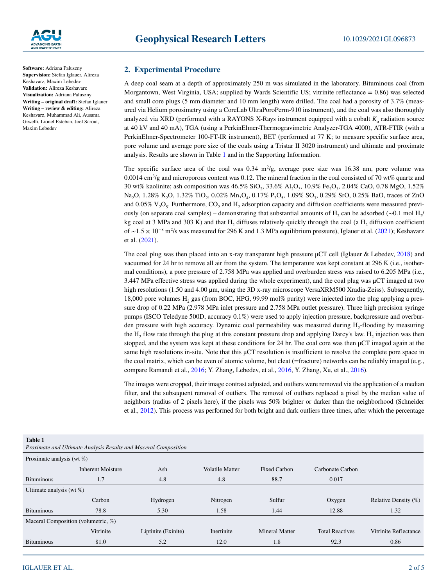

**Software:** Adriana Paluszny **Supervision:** Stefan Iglauer, Alireza Keshavarz, Maxim Lebedev **Validation:** Alireza Keshavarz **Visualization:** Adriana Paluszny **Writing – original draft:** Stefan Iglauer **Writing – review & editing:** Alireza Keshavarz, Muhammad Ali, Ausama Giwelli, Lionel Esteban, Joel Sarout, Maxim Lebedev

## **2. Experimental Procedure**

A deep coal seam at a depth of approximately 250 m was simulated in the laboratory. Bituminous coal (from Morgantown, West Virginia, USA; supplied by Wards Scientific US; vitrinite reflectance = 0.86) was selected and small core plugs (5 mm diameter and 10 mm length) were drilled. The coal had a porosity of 3.7% (measured via Helium porosimetry using a CoreLab UltraPoroPerm-910 instrument), and the coal was also thoroughly analyzed via XRD (performed with a RAYONS X-Rays instrument equipped with a cobalt  $K_{\alpha}$  radiation source at 40 kV and 40 mA), TGA (using a PerkinElmer-Thermogravimetric Analyzer-TGA 4000), ATR-FTIR (with a PerkinElmer-Spectrometer 100-FT-IR instrument), BET (performed at 77 K; to measure specific surface area, pore volume and average pore size of the coals using a Tristar II 3020 instrument) and ultimate and proximate analysis. Results are shown in Table [1](#page-3-0) and in the Supporting Information.

The specific surface area of the coal was  $0.34 \text{ m}^2/\text{g}$ , average pore size was  $16.38 \text{ nm}$ , pore volume was 0.0014 cm<sup>3</sup>/g and microporous content was 0.12. The mineral fraction in the coal consisted of 70 wt% quartz and 30 wt% kaolinite; ash composition was 46.5% SiO<sub>2</sub>, 33.6% Al<sub>2</sub>O<sub>3</sub>, 10.9% Fe<sub>2</sub>O<sub>3</sub>, 2.04% CaO, 0.78 MgO, 1.52% Na<sub>2</sub>O, 1.28% K<sub>2</sub>O, 1.32% TiO<sub>2</sub>, 0.02% Mn<sub>3</sub>O<sub>4</sub>, 0.17% P<sub>2</sub>O<sub>5</sub>, 1.09% SO<sub>3</sub>, 0.29% SrO, 0.25% BaO, traces of ZnO and 0.05%  $V_2O_5$ . Furthermore, CO<sub>2</sub> and H<sub>2</sub> adsorption capacity and diffusion coefficients were measured previously (on separate coal samples) – demonstrating that substantial amounts of H<sub>2</sub> can be adsorbed (∼0.1 mol H<sub>2</sub>/ kg coal at 3 MPa and 303 K) and that H<sub>2</sub> diffuses relatively quickly through the coal (a H<sub>2</sub> diffusion coefficient of ∼1.5 × 10−8 m2 /s was measured for 296 K and 1.3 MPa equilibrium pressure), Iglauer et al. ([2021\)](#page-6-6); Keshavarz et al. ([2021\)](#page-6-7).

The coal plug was then placed into an x-ray transparent high pressure μCT cell (Iglauer & Lebedev, [2018\)](#page-6-10) and vacuumed for 24 hr to remove all air from the system. The temperature was kept constant at 296 K (i.e., isothermal conditions), a pore pressure of 2.758 MPa was applied and overburden stress was raised to 6.205 MPa (i.e., 3.447 MPa effective stress was applied during the whole experiment), and the coal plug was μCT imaged at two high resolutions (1.50 and 4.00 μm, using the 3D x-ray microscope VersaXRM500 Xradia-Zeiss). Subsequently, 18,000 pore volumes H<sub>2</sub> gas (from BOC, HPG, 99.99 mol% purity) were injected into the plug applying a pressure drop of 0.22 MPa (2.978 MPa inlet pressure and 2.758 MPa outlet pressure). Three high precision syringe pumps (ISCO Teledyne 500D, accuracy 0.1%) were used to apply injection pressure, backpressure and overburden pressure with high accuracy. Dynamic coal permeability was measured during H<sub>2</sub>-flooding by measuring the  $H<sub>2</sub>$  flow rate through the plug at this constant pressure drop and applying Darcy's law.  $H<sub>2</sub>$  injection was then stopped, and the system was kept at these conditions for 24 hr. The coal core was then μCT imaged again at the same high resolutions in-situ. Note that this μCT resolution is insufficient to resolve the complete pore space in the coal matrix, which can be even of atomic volume, but cleat (=fracture) networks can be reliably imaged (e.g., compare Ramandi et al., [2016;](#page-6-11) Y. Zhang, Lebedev, et al., [2016,](#page-6-9) Y. Zhang, Xu, et al., [2016](#page-6-12)).

The images were cropped, their image contrast adjusted, and outliers were removed via the application of a median filter, and the subsequent removal of outliers. The removal of outliers replaced a pixel by the median value of neighbors (radius of 2 pixels here), if the pixels was 50% brighter or darker than the neighborhood (Schneider et al., [2012](#page-6-13)). This process was performed for both bright and dark outliers three times, after which the percentage

<span id="page-3-0"></span>

| <b>Table 1</b><br>Proximate and Ultimate Analysis Results and Maceral Composition |                          |                     |                        |                       |                        |                         |  |  |  |
|-----------------------------------------------------------------------------------|--------------------------|---------------------|------------------------|-----------------------|------------------------|-------------------------|--|--|--|
| Proximate analysis (wt $\%$ )                                                     |                          |                     |                        |                       |                        |                         |  |  |  |
|                                                                                   | <b>Inherent Moisture</b> | Ash                 | <b>Volatile Matter</b> | Fixed Carbon          | Carbonate Carbon       |                         |  |  |  |
| <b>Bituminous</b>                                                                 | 1.7                      | 4.8                 | 4.8                    | 88.7                  | 0.017                  |                         |  |  |  |
| Ultimate analysis (wt $\%$ )                                                      |                          |                     |                        |                       |                        |                         |  |  |  |
|                                                                                   | Carbon                   | Hydrogen            | Nitrogen               | Sulfur                | Oxygen                 | Relative Density $(\%)$ |  |  |  |
| <b>Bituminous</b>                                                                 | 78.8                     | 5.30                | 1.58                   | 1.44                  | 12.88                  | 1.32                    |  |  |  |
| Maceral Composition (volumetric, %)                                               |                          |                     |                        |                       |                        |                         |  |  |  |
|                                                                                   | Vitrinite                | Liptinite (Exinite) | Inertinite             | <b>Mineral Matter</b> | <b>Total Reactives</b> | Vitrinite Reflectance   |  |  |  |
| <b>Bituminous</b>                                                                 | 81.0                     | 5.2                 | 12.0                   | 1.8                   | 92.3                   | 0.86                    |  |  |  |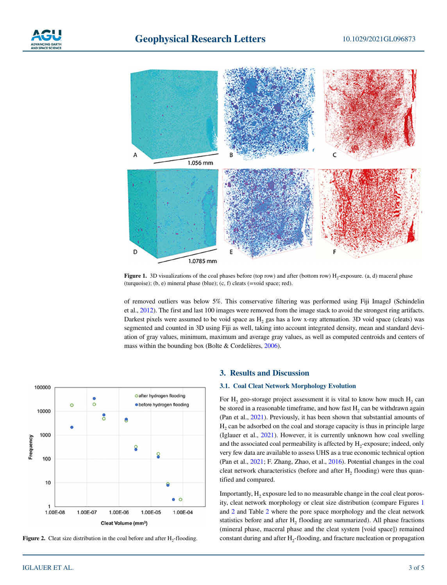



<span id="page-4-0"></span>**Figure 1.** 3D visualizations of the coal phases before (top row) and after (bottom row) H<sub>2</sub>-exposure. (a, d) maceral phase (turquoise); (b, e) mineral phase (blue); (c, f) cleats (=void space; red).

of removed outliers was below 5%. This conservative filtering was performed using Fiji ImageJ (Schindelin et al., [2012](#page-6-14)). The first and last 100 images were removed from the image stack to avoid the strongest ring artifacts. Darkest pixels were assumed to be void space as H<sub>2</sub> gas has a low x-ray attenuation. 3D void space (cleats) was segmented and counted in 3D using Fiji as well, taking into account integrated density, mean and standard deviation of gray values, minimum, maximum and average gray values, as well as computed centroids and centers of mass within the bounding box (Bolte & Cordelières, [2006](#page-6-15)).



<span id="page-4-1"></span>Figure 2. Cleat size distribution in the coal before and after H<sub>2</sub>-flooding.

#### **3. Results and Discussion**

#### **3.1. Coal Cleat Network Morphology Evolution**

For H<sub>2</sub> geo-storage project assessment it is vital to know how much  $H_2$  can be stored in a reasonable timeframe, and how fast H<sub>2</sub> can be withdrawn again (Pan et al., [2021\)](#page-6-5). Previously, it has been shown that substantial amounts of H<sub>2</sub> can be adsorbed on the coal and storage capacity is thus in principle large (Iglauer et al., [2021\)](#page-6-6). However, it is currently unknown how coal swelling and the associated coal permeability is affected by  $H_2$ -exposure; indeed, only very few data are available to assess UHS as a true economic technical option (Pan et al., [2021;](#page-6-5) F. Zhang, Zhao, et al., [2016\)](#page-6-3). Potential changes in the coal cleat network characteristics (before and after  $H_2$  flooding) were thus quantified and compared.

Importantly,  $H_2$  exposure led to no measurable change in the coal cleat porosity, cleat network morphology or cleat size distribution (compare Figures [1](#page-4-0) and [2](#page-4-1) and Table [2](#page-5-0) where the pore space morphology and the cleat network statistics before and after  $H_2$  flooding are summarized). All phase fractions (mineral phase, maceral phase and the cleat system [void space]) remained constant during and after  $H_2$ -flooding, and fracture nucleation or propagation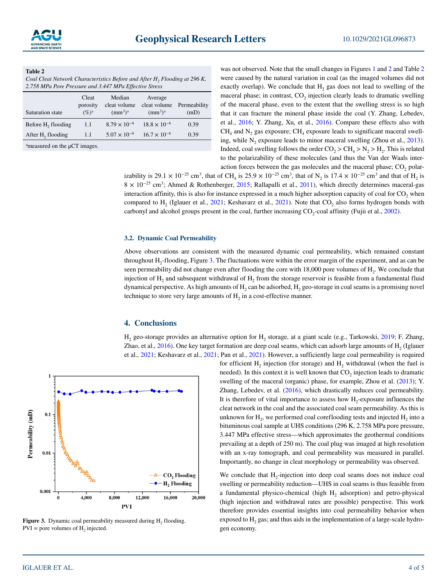#### <span id="page-5-0"></span>**Table 2**

*Coal Cleat Network Characteristics Before and After H<sub>2</sub> Flooding at 296 K, 2.758 MPa Pore Pressure and 3.447 MPa Effective Stress*

| Saturation state                            | Cleat<br>porosity<br>$(\%)^a$ | Median<br>cleat volume<br>(mm <sup>3</sup> ) <sup>a</sup> | Average<br>cleat volume Permeability<br>(mm <sup>3</sup> ) <sup>a</sup> | (mD) |  |  |  |
|---------------------------------------------|-------------------------------|-----------------------------------------------------------|-------------------------------------------------------------------------|------|--|--|--|
| Before H <sub>2</sub> flooding              | -1.1                          | $8.79 \times 10^{-8}$                                     | $18.8 \times 10^{-8}$                                                   | 0.39 |  |  |  |
| After H <sub>2</sub> flooding               | 1.1                           | $5.07 \times 10^{-8}$                                     | $16.7 \times 10^{-8}$                                                   | 0.39 |  |  |  |
| $^{\circ}$ measured on the $\mu$ CT images. |                               |                                                           |                                                                         |      |  |  |  |

was not observed. Note that the small changes in Figures [1](#page-4-0) and [2](#page-4-1) and Table [2](#page-5-0) were caused by the natural variation in coal (as the imaged volumes did not exactly overlap). We conclude that  $H_2$  gas does not lead to swelling of the maceral phase; in contrast,  $CO<sub>2</sub>$  injection clearly leads to dramatic swelling of the maceral phase, even to the extent that the swelling stress is so high that it can fracture the mineral phase inside the coal (Y. Zhang, Lebedev, et al., [2016;](#page-6-9) Y. Zhang, Xu, et al., [2016\)](#page-6-12). Compare these effects also with  $CH<sub>4</sub>$  and N<sub>2</sub> gas exposure; CH<sub>4</sub> exposure leads to significant maceral swelling, while  $N_2$  exposure leads to minor maceral swelling (Zhou et al., [2013](#page-6-16)). Indeed, coal swelling follows the order  $CO_2 > CH_4 > N_2 > H_2$ . This is related to the polarizability of these molecules (and thus the Van der Waals interaction forces between the gas molecules and the maceral phase;  $CO<sub>2</sub>$  polar-

izability is 29.1 × 10<sup>-25</sup> cm<sup>3</sup>, that of CH<sub>4</sub> is 25.9 × 10<sup>-25</sup> cm<sup>3</sup>, that of N<sub>2</sub> is 17.4 × 10<sup>-25</sup> cm<sup>3</sup> and that of H<sub>2</sub> is  $8 \times 10^{-25}$  cm<sup>3</sup>; Ahmed & Rothenberger, [2015](#page-6-17); Rallapalli et al., [2011](#page-6-18)), which directly determines maceral-gas interaction affinity, this is also for instance expressed in a much higher adsorption capacity of coal for  $CO$ , when compared to H<sub>2</sub> (Iglauer et al.,  $2021$ ; Keshavarz et al.,  $2021$ ). Note that CO<sub>2</sub> also forms hydrogen bonds with carbonyl and alcohol groups present in the coal, further increasing CO<sub>2</sub>-coal affinity (Fujii et al., [2002](#page-6-19)).

#### **3.2. Dynamic Coal Permeability**

Above observations are consistent with the measured dynamic coal permeability, which remained constant throughout H2-flooding, Figure [3](#page-5-1). The fluctuations were within the error margin of the experiment, and as can be seen permeability did not change even after flooding the core with 18,000 pore volumes of H<sub>2</sub>. We conclude that injection of  $H_2$  and subsequent withdrawal of  $H_2$  from the storage reservoir is feasible from a fundamental fluid dynamical perspective. As high amounts of  $H_2$  can be adsorbed,  $H_2$  geo-storage in coal seams is a promising novel technique to store very large amounts of  $H_2$  in a cost-effective manner.

#### **4. Conclusions**

H<sub>2</sub> geo-storage provides an alternative option for H<sub>2</sub> storage, at a giant scale (e.g., Tarkowski, [2019](#page-6-1); F. Zhang, Zhao, et al.,  $2016$ ). One key target formation are deep coal seams, which can adsorb large amounts of  $H<sub>2</sub>$  (Iglauer et al., [2021](#page-6-6); Keshavarz et al., [2021;](#page-6-7) Pan et al., [2021\)](#page-6-5). However, a sufficiently large coal permeability is required



<span id="page-5-1"></span>**Figure 3.** Dynamic coal permeability measured during H<sub>2</sub> flooding.  $PVI =$  pore volumes of  $H<sub>2</sub>$  injected.

for efficient  $H_2$  injection (for storage) and  $H_2$  withdrawal (when the fuel is needed). In this context it is well known that  $CO<sub>2</sub>$  injection leads to dramatic swelling of the maceral (organic) phase, for example, Zhou et al. [\(2013](#page-6-16)); Y. Zhang, Lebedev, et al. [\(2016](#page-6-9)), which drastically reduces coal permeability. It is therefore of vital importance to assess how  $H_2$ -exposure influences the cleat network in the coal and the associated coal seam permeability. As this is unknown for  $H<sub>2</sub>$ , we performed coal coreflooding tests and injected  $H<sub>2</sub>$  into a bituminous coal sample at UHS conditions (296 K, 2.758 MPa pore pressure, 3.447 MPa effective stress—which approximates the geothermal conditions prevailing at a depth of 250 m). The coal plug was imaged at high resolution with an x-ray tomograph, and coal permeability was measured in parallel. Importantly, no change in cleat morphology or permeability was observed.

We conclude that H<sub>2</sub>-injection into deep coal seams does not induce coal swelling or permeability reduction—UHS in coal seams is thus feasible from a fundamental physico-chemical (high  $H<sub>2</sub>$  adsorption) and petro-physical (high injection and withdrawal rates are possible) perspective. This work therefore provides essential insights into coal permeability behavior when exposed to  $H_2$  gas; and thus aids in the implementation of a large-scale hydrogen economy.